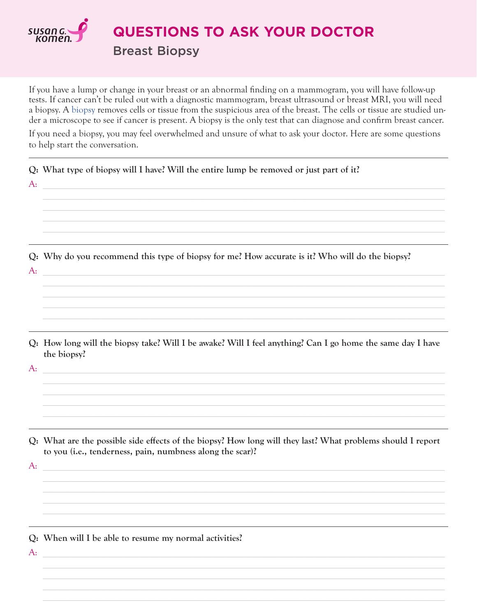

**QUESTIONS TO ASK YOUR DOCTOR Breast Biopsy** 

If you have a lump or change in your breast or an abnormal finding on a mammogram, you will have follow-up tests. If cancer can't be ruled out with a diagnostic mammogram, breast ultrasound or breast MRI, you will need a biopsy. A biopsy removes cells or tissue from the suspicious area of the breast. The cells or tissue are studied under a microscope to see if cancer is present. A biopsy is the only test that can diagnose and confirm breast cancer.

If you need a biopsy, you may feel overwhelmed and unsure of what to ask your doctor. Here are some questions to help start the conversation.

 $Q$ : What type of biopsy will I have? Will the entire lump be removed or just part of it?  $A<sub>1</sub>$ Q: Why do you recommend this type of biopsy for me? How accurate is it? Who will do the biopsy?  $A$ : Q: How long will the biopsy take? Will I be awake? Will I feel anything? Can I go home the same day I have the biopsy?  $A$ : Q: What are the possible side effects of the biopsy? How long will they last? What problems should I report to you (i.e., tenderness, pain, numbness along the scar)?  $A$ : Q: When will I be able to resume my normal activities?  $A<sub>1</sub>$